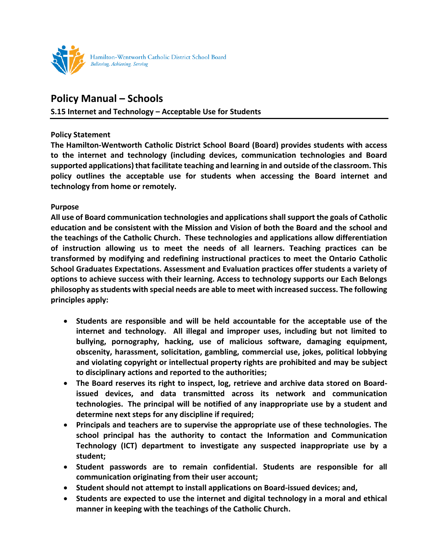

## **Policy Manual – Schools**

## **S.15 Internet and Technology – Acceptable Use for Students**

## **Policy Statement**

**The Hamilton-Wentworth Catholic District School Board (Board) provides students with access to the internet and technology (including devices, communication technologies and Board supported applications) that facilitate teaching and learning in and outside of the classroom. This policy outlines the acceptable use for students when accessing the Board internet and technology from home or remotely.**

## **Purpose**

**All use of Board communication technologies and applications shall support the goals of Catholic education and be consistent with the Mission and Vision of both the Board and the school and the teachings of the Catholic Church. These technologies and applications allow differentiation of instruction allowing us to meet the needs of all learners. Teaching practices can be transformed by modifying and redefining instructional practices to meet the Ontario Catholic School Graduates Expectations. Assessment and Evaluation practices offer students a variety of options to achieve success with their learning. Access to technology supports our Each Belongs philosophy as students with special needs are able to meet with increased success. The following principles apply:**

- **Students are responsible and will be held accountable for the acceptable use of the internet and technology. All illegal and improper uses, including but not limited to bullying, pornography, hacking, use of malicious software, damaging equipment, obscenity, harassment, solicitation, gambling, commercial use, jokes, political lobbying and violating copyright or intellectual property rights are prohibited and may be subject to disciplinary actions and reported to the authorities;**
- **The Board reserves its right to inspect, log, retrieve and archive data stored on Boardissued devices, and data transmitted across its network and communication technologies. The principal will be notified of any inappropriate use by a student and determine next steps for any discipline if required;**
- **Principals and teachers are to supervise the appropriate use of these technologies. The school principal has the authority to contact the Information and Communication Technology (ICT) department to investigate any suspected inappropriate use by a student;**
- **Student passwords are to remain confidential. Students are responsible for all communication originating from their user account;**
- **Student should not attempt to install applications on Board-issued devices; and,**
- **Students are expected to use the internet and digital technology in a moral and ethical manner in keeping with the teachings of the Catholic Church.**